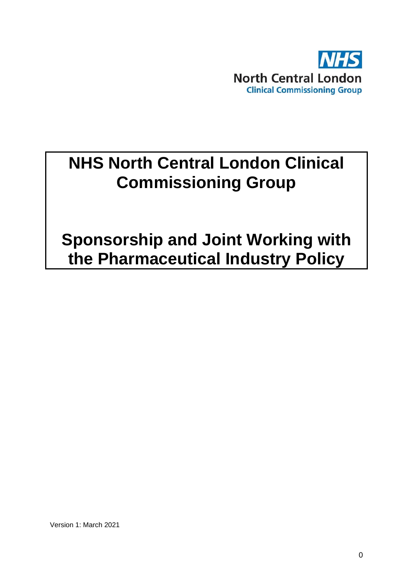

# **NHS North Central London Clinical Commissioning Group**

**Sponsorship and Joint Working with the Pharmaceutical Industry Policy**

Version 1: March 2021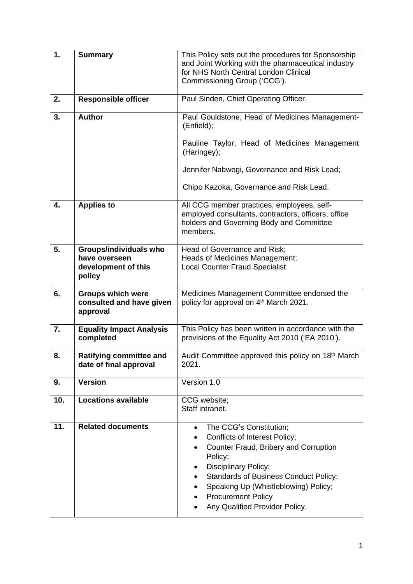| 1.  | <b>Summary</b>                                                           | This Policy sets out the procedures for Sponsorship<br>and Joint Working with the pharmaceutical industry<br>for NHS North Central London Clinical<br>Commissioning Group ('CCG').                                                                                                                                                                  |
|-----|--------------------------------------------------------------------------|-----------------------------------------------------------------------------------------------------------------------------------------------------------------------------------------------------------------------------------------------------------------------------------------------------------------------------------------------------|
| 2.  | <b>Responsible officer</b>                                               | Paul Sinden, Chief Operating Officer.                                                                                                                                                                                                                                                                                                               |
| 3.  | <b>Author</b>                                                            | Paul Gouldstone, Head of Medicines Management-<br>(Enfield);                                                                                                                                                                                                                                                                                        |
|     |                                                                          | Pauline Taylor, Head of Medicines Management<br>(Haringey);                                                                                                                                                                                                                                                                                         |
|     |                                                                          | Jennifer Nabwogi, Governance and Risk Lead;                                                                                                                                                                                                                                                                                                         |
|     |                                                                          | Chipo Kazoka, Governance and Risk Lead.                                                                                                                                                                                                                                                                                                             |
| 4.  | <b>Applies to</b>                                                        | All CCG member practices, employees, self-<br>employed consultants, contractors, officers, office<br>holders and Governing Body and Committee<br>members.                                                                                                                                                                                           |
| 5.  | Groups/individuals who<br>have overseen<br>development of this<br>policy | Head of Governance and Risk;<br>Heads of Medicines Management;<br><b>Local Counter Fraud Specialist</b>                                                                                                                                                                                                                                             |
| 6.  | <b>Groups which were</b><br>consulted and have given<br>approval         | Medicines Management Committee endorsed the<br>policy for approval on 4 <sup>th</sup> March 2021.                                                                                                                                                                                                                                                   |
| 7.  | <b>Equality Impact Analysis</b><br>completed                             | This Policy has been written in accordance with the<br>provisions of the Equality Act 2010 ('EA 2010').                                                                                                                                                                                                                                             |
| 8.  | <b>Ratifying committee and</b><br>date of final approval                 | Audit Committee approved this policy on 18 <sup>th</sup> March<br>2021.                                                                                                                                                                                                                                                                             |
| 9.  | <b>Version</b>                                                           | Version 1.0                                                                                                                                                                                                                                                                                                                                         |
| 10. | <b>Locations available</b>                                               | CCG website;<br>Staff intranet.                                                                                                                                                                                                                                                                                                                     |
| 11. | <b>Related documents</b>                                                 | The CCG's Constitution;<br>$\bullet$<br><b>Conflicts of Interest Policy;</b><br>٠<br>Counter Fraud, Bribery and Corruption<br>$\bullet$<br>Policy;<br>Disciplinary Policy;<br>٠<br><b>Standards of Business Conduct Policy;</b><br>$\bullet$<br>Speaking Up (Whistleblowing) Policy;<br><b>Procurement Policy</b><br>Any Qualified Provider Policy. |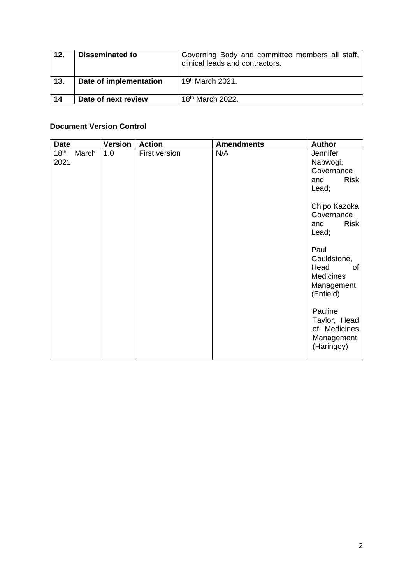| 12. | <b>Disseminated to</b> | Governing Body and committee members all staff,<br>clinical leads and contractors. |
|-----|------------------------|------------------------------------------------------------------------------------|
| 13. | Date of implementation | $19h$ March 2021.                                                                  |
| 14  | Date of next review    | 18 <sup>th</sup> March 2022.                                                       |

# **Document Version Control**

| <b>Date</b>                       | <b>Version</b> | <b>Action</b> | <b>Amendments</b> | <b>Author</b>                                                                    |
|-----------------------------------|----------------|---------------|-------------------|----------------------------------------------------------------------------------|
| 18 <sup>th</sup><br>March<br>2021 | 1.0            | First version | N/A               | Jennifer<br>Nabwogi,<br>Governance<br><b>Risk</b><br>and<br>Lead;                |
|                                   |                |               |                   | Chipo Kazoka<br>Governance<br><b>Risk</b><br>and<br>Lead;                        |
|                                   |                |               |                   | Paul<br>Gouldstone,<br>Head<br>οf<br><b>Medicines</b><br>Management<br>(Enfield) |
|                                   |                |               |                   | Pauline<br>Taylor, Head<br>of Medicines<br>Management<br>(Haringey)              |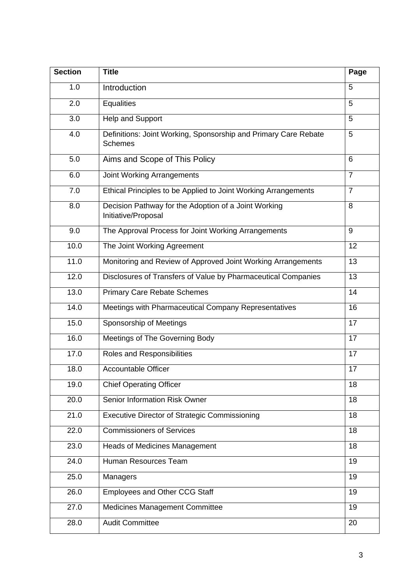| <b>Section</b> | <b>Title</b>                                                                      | Page           |
|----------------|-----------------------------------------------------------------------------------|----------------|
| 1.0            | Introduction                                                                      | 5              |
| 2.0            | <b>Equalities</b>                                                                 | 5              |
| 3.0            | Help and Support                                                                  | 5              |
| 4.0            | Definitions: Joint Working, Sponsorship and Primary Care Rebate<br><b>Schemes</b> | 5              |
| 5.0            | Aims and Scope of This Policy                                                     | 6              |
| 6.0            | <b>Joint Working Arrangements</b>                                                 | $\overline{7}$ |
| 7.0            | Ethical Principles to be Applied to Joint Working Arrangements                    | $\overline{7}$ |
| 8.0            | Decision Pathway for the Adoption of a Joint Working<br>Initiative/Proposal       | 8              |
| 9.0            | The Approval Process for Joint Working Arrangements                               | 9              |
| 10.0           | The Joint Working Agreement                                                       | 12             |
| 11.0           | Monitoring and Review of Approved Joint Working Arrangements                      | 13             |
| 12.0           | Disclosures of Transfers of Value by Pharmaceutical Companies                     | 13             |
| 13.0           | <b>Primary Care Rebate Schemes</b>                                                | 14             |
| 14.0           | Meetings with Pharmaceutical Company Representatives                              | 16             |
| 15.0           | Sponsorship of Meetings                                                           | 17             |
| 16.0           | Meetings of The Governing Body                                                    | 17             |
| 17.0           | Roles and Responsibilities                                                        | 17             |
| 18.0           | <b>Accountable Officer</b>                                                        | 17             |
| 19.0           | <b>Chief Operating Officer</b>                                                    | 18             |
| 20.0           | Senior Information Risk Owner                                                     | 18             |
| 21.0           | <b>Executive Director of Strategic Commissioning</b>                              | 18             |
| 22.0           | <b>Commissioners of Services</b>                                                  | 18             |
| 23.0           | <b>Heads of Medicines Management</b>                                              | 18             |
| 24.0           | Human Resources Team                                                              | 19             |
| 25.0           | Managers                                                                          | 19             |
| 26.0           | <b>Employees and Other CCG Staff</b>                                              | 19             |
| 27.0           | <b>Medicines Management Committee</b>                                             | 19             |
| 28.0           | <b>Audit Committee</b>                                                            | 20             |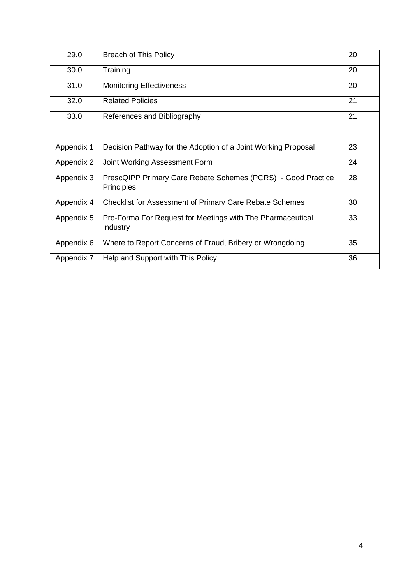| 29.0       | <b>Breach of This Policy</b>                                                      | 20 |
|------------|-----------------------------------------------------------------------------------|----|
| 30.0       | Training                                                                          | 20 |
| 31.0       | <b>Monitoring Effectiveness</b>                                                   | 20 |
| 32.0       | <b>Related Policies</b>                                                           | 21 |
| 33.0       | References and Bibliography                                                       | 21 |
|            |                                                                                   |    |
| Appendix 1 | Decision Pathway for the Adoption of a Joint Working Proposal                     | 23 |
| Appendix 2 | Joint Working Assessment Form                                                     | 24 |
| Appendix 3 | PrescQIPP Primary Care Rebate Schemes (PCRS) - Good Practice<br><b>Principles</b> | 28 |
| Appendix 4 | <b>Checklist for Assessment of Primary Care Rebate Schemes</b>                    | 30 |
| Appendix 5 | Pro-Forma For Request for Meetings with The Pharmaceutical<br>Industry            | 33 |
| Appendix 6 | Where to Report Concerns of Fraud, Bribery or Wrongdoing                          | 35 |
| Appendix 7 | Help and Support with This Policy                                                 | 36 |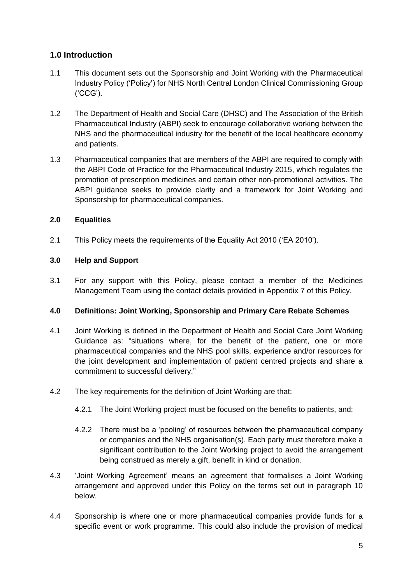# **1.0 Introduction**

- 1.1 This document sets out the Sponsorship and Joint Working with the Pharmaceutical Industry Policy ('Policy') for NHS North Central London Clinical Commissioning Group ('CCG').
- 1.2 The Department of Health and Social Care (DHSC) and The Association of the British Pharmaceutical Industry (ABPI) seek to encourage collaborative working between the NHS and the pharmaceutical industry for the benefit of the local healthcare economy and patients.
- 1.3 Pharmaceutical companies that are members of the ABPI are required to comply with the ABPI Code of Practice for the Pharmaceutical Industry 2015, which regulates the promotion of prescription medicines and certain other non-promotional activities. The ABPI guidance seeks to provide clarity and a framework for Joint Working and Sponsorship for pharmaceutical companies.

# **2.0 Equalities**

2.1 This Policy meets the requirements of the Equality Act 2010 ('EA 2010').

# **3.0 Help and Support**

3.1 For any support with this Policy, please contact a member of the Medicines Management Team using the contact details provided in Appendix 7 of this Policy.

# **4.0 Definitions: Joint Working, Sponsorship and Primary Care Rebate Schemes**

- 4.1 Joint Working is defined in the Department of Health and Social Care Joint Working Guidance as: "situations where, for the benefit of the patient, one or more pharmaceutical companies and the NHS pool skills, experience and/or resources for the joint development and implementation of patient centred projects and share a commitment to successful delivery."
- 4.2 The key requirements for the definition of Joint Working are that:
	- 4.2.1 The Joint Working project must be focused on the benefits to patients, and;
	- 4.2.2 There must be a 'pooling' of resources between the pharmaceutical company or companies and the NHS organisation(s). Each party must therefore make a significant contribution to the Joint Working project to avoid the arrangement being construed as merely a gift, benefit in kind or donation.
- 4.3 'Joint Working Agreement' means an agreement that formalises a Joint Working arrangement and approved under this Policy on the terms set out in paragraph 10 below.
- 4.4 Sponsorship is where one or more pharmaceutical companies provide funds for a specific event or work programme. This could also include the provision of medical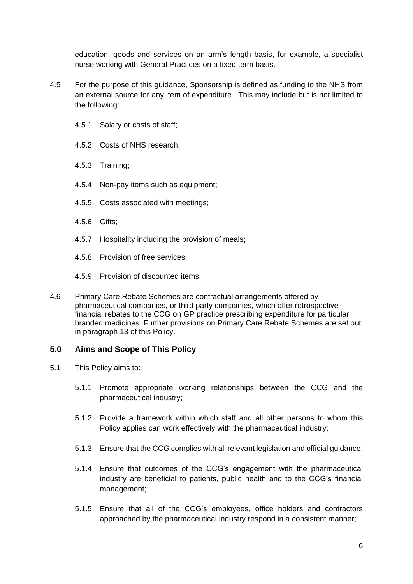education, goods and services on an arm's length basis, for example, a specialist nurse working with General Practices on a fixed term basis.

- 4.5 For the purpose of this guidance, Sponsorship is defined as funding to the NHS from an external source for any item of expenditure. This may include but is not limited to the following:
	- 4.5.1 Salary or costs of staff;
	- 4.5.2 Costs of NHS research;
	- 4.5.3 Training;
	- 4.5.4 Non-pay items such as equipment;
	- 4.5.5 Costs associated with meetings;
	- 4.5.6 Gifts;
	- 4.5.7 Hospitality including the provision of meals;
	- 4.5.8 Provision of free services;
	- 4.5.9 Provision of discounted items.
- 4.6 Primary Care Rebate Schemes are contractual arrangements offered by pharmaceutical companies, or third party companies, which offer retrospective financial rebates to the CCG on GP practice prescribing expenditure for particular branded medicines. Further provisions on Primary Care Rebate Schemes are set out in paragraph 13 of this Policy.

# **5.0 Aims and Scope of This Policy**

- 5.1 This Policy aims to:
	- 5.1.1 Promote appropriate working relationships between the CCG and the pharmaceutical industry;
	- 5.1.2 Provide a framework within which staff and all other persons to whom this Policy applies can work effectively with the pharmaceutical industry:
	- 5.1.3 Ensure that the CCG complies with all relevant legislation and official guidance;
	- 5.1.4 Ensure that outcomes of the CCG's engagement with the pharmaceutical industry are beneficial to patients, public health and to the CCG's financial management;
	- 5.1.5 Ensure that all of the CCG's employees, office holders and contractors approached by the pharmaceutical industry respond in a consistent manner;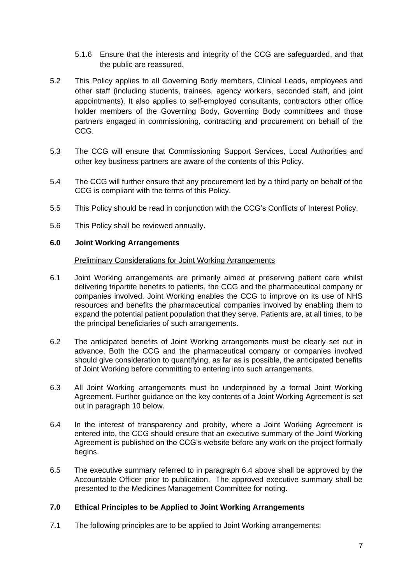- 5.1.6 Ensure that the interests and integrity of the CCG are safeguarded, and that the public are reassured.
- 5.2 This Policy applies to all Governing Body members, Clinical Leads, employees and other staff (including students, trainees, agency workers, seconded staff, and joint appointments). It also applies to self-employed consultants, contractors other office holder members of the Governing Body, Governing Body committees and those partners engaged in commissioning, contracting and procurement on behalf of the CCG.
- 5.3 The CCG will ensure that Commissioning Support Services, Local Authorities and other key business partners are aware of the contents of this Policy.
- 5.4 The CCG will further ensure that any procurement led by a third party on behalf of the CCG is compliant with the terms of this Policy.
- 5.5 This Policy should be read in conjunction with the CCG's Conflicts of Interest Policy.
- 5.6 This Policy shall be reviewed annually.

#### **6.0 Joint Working Arrangements**

#### Preliminary Considerations for Joint Working Arrangements

- 6.1 Joint Working arrangements are primarily aimed at preserving patient care whilst delivering tripartite benefits to patients, the CCG and the pharmaceutical company or companies involved. Joint Working enables the CCG to improve on its use of NHS resources and benefits the pharmaceutical companies involved by enabling them to expand the potential patient population that they serve. Patients are, at all times, to be the principal beneficiaries of such arrangements.
- 6.2 The anticipated benefits of Joint Working arrangements must be clearly set out in advance. Both the CCG and the pharmaceutical company or companies involved should give consideration to quantifying, as far as is possible, the anticipated benefits of Joint Working before committing to entering into such arrangements.
- 6.3 All Joint Working arrangements must be underpinned by a formal Joint Working Agreement. Further guidance on the key contents of a Joint Working Agreement is set out in paragraph 10 below.
- 6.4 In the interest of transparency and probity, where a Joint Working Agreement is entered into, the CCG should ensure that an executive summary of the Joint Working Agreement is published on the CCG's website before any work on the project formally begins.
- 6.5 The executive summary referred to in paragraph 6.4 above shall be approved by the Accountable Officer prior to publication. The approved executive summary shall be presented to the Medicines Management Committee for noting.

# **7.0 Ethical Principles to be Applied to Joint Working Arrangements**

7.1 The following principles are to be applied to Joint Working arrangements: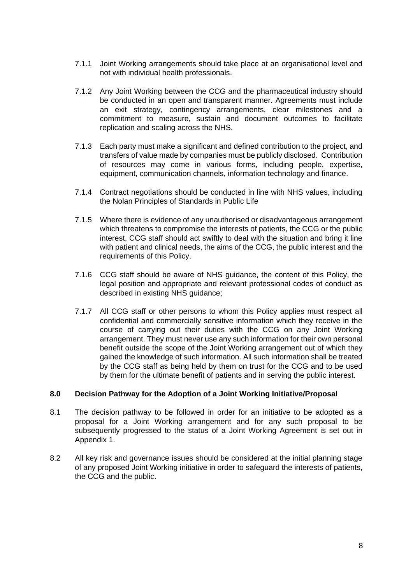- 7.1.1 Joint Working arrangements should take place at an organisational level and not with individual health professionals.
- 7.1.2 Any Joint Working between the CCG and the pharmaceutical industry should be conducted in an open and transparent manner. Agreements must include an exit strategy, contingency arrangements, clear milestones and a commitment to measure, sustain and document outcomes to facilitate replication and scaling across the NHS.
- 7.1.3 Each party must make a significant and defined contribution to the project, and transfers of value made by companies must be publicly disclosed. Contribution of resources may come in various forms, including people, expertise, equipment, communication channels, information technology and finance.
- 7.1.4 Contract negotiations should be conducted in line with NHS values, including the Nolan Principles of Standards in Public Life
- 7.1.5 Where there is evidence of any unauthorised or disadvantageous arrangement which threatens to compromise the interests of patients, the CCG or the public interest, CCG staff should act swiftly to deal with the situation and bring it line with patient and clinical needs, the aims of the CCG, the public interest and the requirements of this Policy.
- 7.1.6 CCG staff should be aware of NHS guidance, the content of this Policy, the legal position and appropriate and relevant professional codes of conduct as described in existing NHS guidance;
- 7.1.7 All CCG staff or other persons to whom this Policy applies must respect all confidential and commercially sensitive information which they receive in the course of carrying out their duties with the CCG on any Joint Working arrangement. They must never use any such information for their own personal benefit outside the scope of the Joint Working arrangement out of which they gained the knowledge of such information. All such information shall be treated by the CCG staff as being held by them on trust for the CCG and to be used by them for the ultimate benefit of patients and in serving the public interest.

# **8.0 Decision Pathway for the Adoption of a Joint Working Initiative/Proposal**

- 8.1 The decision pathway to be followed in order for an initiative to be adopted as a proposal for a Joint Working arrangement and for any such proposal to be subsequently progressed to the status of a Joint Working Agreement is set out in Appendix 1.
- 8.2 All key risk and governance issues should be considered at the initial planning stage of any proposed Joint Working initiative in order to safeguard the interests of patients, the CCG and the public.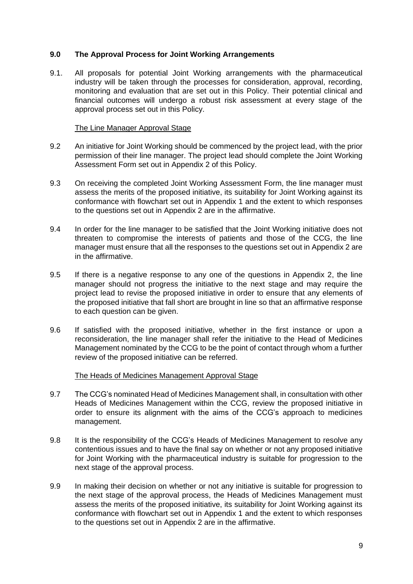# **9.0 The Approval Process for Joint Working Arrangements**

9.1. All proposals for potential Joint Working arrangements with the pharmaceutical industry will be taken through the processes for consideration, approval, recording, monitoring and evaluation that are set out in this Policy. Their potential clinical and financial outcomes will undergo a robust risk assessment at every stage of the approval process set out in this Policy.

# The Line Manager Approval Stage

- 9.2 An initiative for Joint Working should be commenced by the project lead, with the prior permission of their line manager. The project lead should complete the Joint Working Assessment Form set out in Appendix 2 of this Policy.
- 9.3 On receiving the completed Joint Working Assessment Form, the line manager must assess the merits of the proposed initiative, its suitability for Joint Working against its conformance with flowchart set out in Appendix 1 and the extent to which responses to the questions set out in Appendix 2 are in the affirmative.
- 9.4 In order for the line manager to be satisfied that the Joint Working initiative does not threaten to compromise the interests of patients and those of the CCG, the line manager must ensure that all the responses to the questions set out in Appendix 2 are in the affirmative.
- 9.5 If there is a negative response to any one of the questions in Appendix 2, the line manager should not progress the initiative to the next stage and may require the project lead to revise the proposed initiative in order to ensure that any elements of the proposed initiative that fall short are brought in line so that an affirmative response to each question can be given.
- 9.6 If satisfied with the proposed initiative, whether in the first instance or upon a reconsideration, the line manager shall refer the initiative to the Head of Medicines Management nominated by the CCG to be the point of contact through whom a further review of the proposed initiative can be referred.

# The Heads of Medicines Management Approval Stage

- 9.7 The CCG's nominated Head of Medicines Management shall, in consultation with other Heads of Medicines Management within the CCG, review the proposed initiative in order to ensure its alignment with the aims of the CCG's approach to medicines management.
- 9.8 It is the responsibility of the CCG's Heads of Medicines Management to resolve any contentious issues and to have the final say on whether or not any proposed initiative for Joint Working with the pharmaceutical industry is suitable for progression to the next stage of the approval process.
- 9.9 In making their decision on whether or not any initiative is suitable for progression to the next stage of the approval process, the Heads of Medicines Management must assess the merits of the proposed initiative, its suitability for Joint Working against its conformance with flowchart set out in Appendix 1 and the extent to which responses to the questions set out in Appendix 2 are in the affirmative.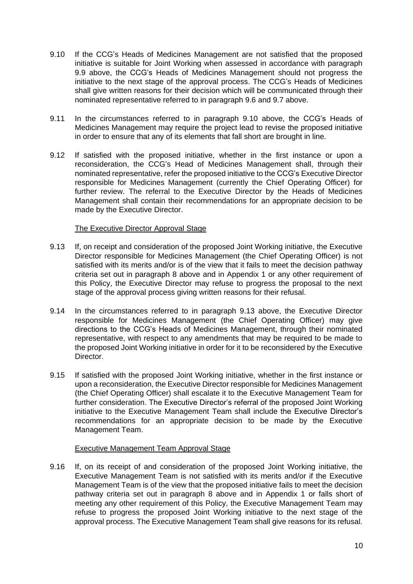- 9.10 If the CCG's Heads of Medicines Management are not satisfied that the proposed initiative is suitable for Joint Working when assessed in accordance with paragraph 9.9 above, the CCG's Heads of Medicines Management should not progress the initiative to the next stage of the approval process. The CCG's Heads of Medicines shall give written reasons for their decision which will be communicated through their nominated representative referred to in paragraph 9.6 and 9.7 above.
- 9.11 In the circumstances referred to in paragraph 9.10 above, the CCG's Heads of Medicines Management may require the project lead to revise the proposed initiative in order to ensure that any of its elements that fall short are brought in line.
- 9.12 If satisfied with the proposed initiative, whether in the first instance or upon a reconsideration, the CCG's Head of Medicines Management shall, through their nominated representative, refer the proposed initiative to the CCG's Executive Director responsible for Medicines Management (currently the Chief Operating Officer) for further review. The referral to the Executive Director by the Heads of Medicines Management shall contain their recommendations for an appropriate decision to be made by the Executive Director.

# The Executive Director Approval Stage

- 9.13 If, on receipt and consideration of the proposed Joint Working initiative, the Executive Director responsible for Medicines Management (the Chief Operating Officer) is not satisfied with its merits and/or is of the view that it fails to meet the decision pathway criteria set out in paragraph 8 above and in Appendix 1 or any other requirement of this Policy, the Executive Director may refuse to progress the proposal to the next stage of the approval process giving written reasons for their refusal.
- 9.14 In the circumstances referred to in paragraph 9.13 above, the Executive Director responsible for Medicines Management (the Chief Operating Officer) may give directions to the CCG's Heads of Medicines Management, through their nominated representative, with respect to any amendments that may be required to be made to the proposed Joint Working initiative in order for it to be reconsidered by the Executive Director.
- 9.15 If satisfied with the proposed Joint Working initiative, whether in the first instance or upon a reconsideration, the Executive Director responsible for Medicines Management (the Chief Operating Officer) shall escalate it to the Executive Management Team for further consideration. The Executive Director's referral of the proposed Joint Working initiative to the Executive Management Team shall include the Executive Director's recommendations for an appropriate decision to be made by the Executive Management Team.

# Executive Management Team Approval Stage

9.16 If, on its receipt of and consideration of the proposed Joint Working initiative, the Executive Management Team is not satisfied with its merits and/or if the Executive Management Team is of the view that the proposed initiative fails to meet the decision pathway criteria set out in paragraph 8 above and in Appendix 1 or falls short of meeting any other requirement of this Policy, the Executive Management Team may refuse to progress the proposed Joint Working initiative to the next stage of the approval process. The Executive Management Team shall give reasons for its refusal.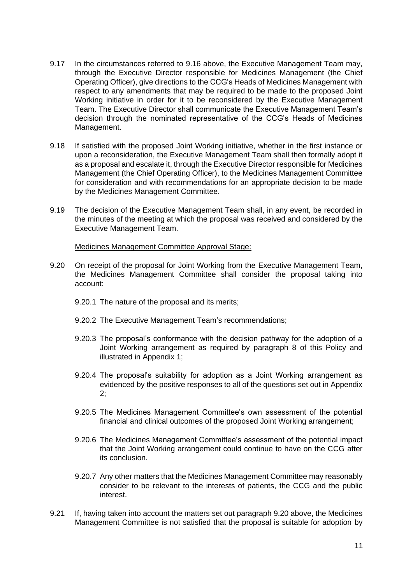- 9.17 In the circumstances referred to 9.16 above, the Executive Management Team may, through the Executive Director responsible for Medicines Management (the Chief Operating Officer), give directions to the CCG's Heads of Medicines Management with respect to any amendments that may be required to be made to the proposed Joint Working initiative in order for it to be reconsidered by the Executive Management Team. The Executive Director shall communicate the Executive Management Team's decision through the nominated representative of the CCG's Heads of Medicines Management.
- 9.18 If satisfied with the proposed Joint Working initiative, whether in the first instance or upon a reconsideration, the Executive Management Team shall then formally adopt it as a proposal and escalate it, through the Executive Director responsible for Medicines Management (the Chief Operating Officer), to the Medicines Management Committee for consideration and with recommendations for an appropriate decision to be made by the Medicines Management Committee.
- 9.19 The decision of the Executive Management Team shall, in any event, be recorded in the minutes of the meeting at which the proposal was received and considered by the Executive Management Team.

#### Medicines Management Committee Approval Stage:

- 9.20 On receipt of the proposal for Joint Working from the Executive Management Team, the Medicines Management Committee shall consider the proposal taking into account:
	- 9.20.1 The nature of the proposal and its merits;
	- 9.20.2 The Executive Management Team's recommendations;
	- 9.20.3 The proposal's conformance with the decision pathway for the adoption of a Joint Working arrangement as required by paragraph 8 of this Policy and illustrated in Appendix 1;
	- 9.20.4 The proposal's suitability for adoption as a Joint Working arrangement as evidenced by the positive responses to all of the questions set out in Appendix 2;
	- 9.20.5 The Medicines Management Committee's own assessment of the potential financial and clinical outcomes of the proposed Joint Working arrangement;
	- 9.20.6 The Medicines Management Committee's assessment of the potential impact that the Joint Working arrangement could continue to have on the CCG after its conclusion.
	- 9.20.7 Any other matters that the Medicines Management Committee may reasonably consider to be relevant to the interests of patients, the CCG and the public interest.
- 9.21 If, having taken into account the matters set out paragraph 9.20 above, the Medicines Management Committee is not satisfied that the proposal is suitable for adoption by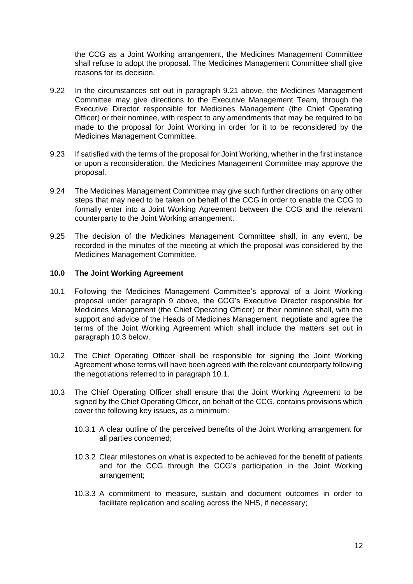the CCG as a Joint Working arrangement, the Medicines Management Committee shall refuse to adopt the proposal. The Medicines Management Committee shall give reasons for its decision.

- 9.22 In the circumstances set out in paragraph 9.21 above, the Medicines Management Committee may give directions to the Executive Management Team, through the Executive Director responsible for Medicines Management (the Chief Operating Officer) or their nominee, with respect to any amendments that may be required to be made to the proposal for Joint Working in order for it to be reconsidered by the Medicines Management Committee.
- 9.23 If satisfied with the terms of the proposal for Joint Working, whether in the first instance or upon a reconsideration, the Medicines Management Committee may approve the proposal.
- 9.24 The Medicines Management Committee may give such further directions on any other steps that may need to be taken on behalf of the CCG in order to enable the CCG to formally enter into a Joint Working Agreement between the CCG and the relevant counterparty to the Joint Working arrangement.
- 9.25 The decision of the Medicines Management Committee shall, in any event, be recorded in the minutes of the meeting at which the proposal was considered by the Medicines Management Committee.

#### **10.0 The Joint Working Agreement**

- 10.1 Following the Medicines Management Committee's approval of a Joint Working proposal under paragraph 9 above, the CCG's Executive Director responsible for Medicines Management (the Chief Operating Officer) or their nominee shall, with the support and advice of the Heads of Medicines Management, negotiate and agree the terms of the Joint Working Agreement which shall include the matters set out in paragraph 10.3 below.
- 10.2 The Chief Operating Officer shall be responsible for signing the Joint Working Agreement whose terms will have been agreed with the relevant counterparty following the negotiations referred to in paragraph 10.1.
- 10.3 The Chief Operating Officer shall ensure that the Joint Working Agreement to be signed by the Chief Operating Officer, on behalf of the CCG, contains provisions which cover the following key issues, as a minimum:
	- 10.3.1 A clear outline of the perceived benefits of the Joint Working arrangement for all parties concerned;
	- 10.3.2 Clear milestones on what is expected to be achieved for the benefit of patients and for the CCG through the CCG's participation in the Joint Working arrangement;
	- 10.3.3 A commitment to measure, sustain and document outcomes in order to facilitate replication and scaling across the NHS, if necessary;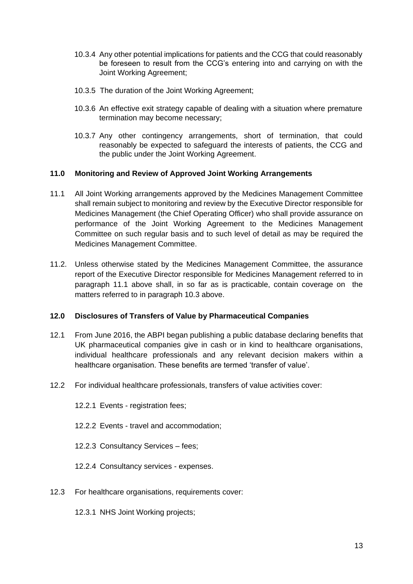- 10.3.4 Any other potential implications for patients and the CCG that could reasonably be foreseen to result from the CCG's entering into and carrying on with the Joint Working Agreement;
- 10.3.5 The duration of the Joint Working Agreement;
- 10.3.6 An effective exit strategy capable of dealing with a situation where premature termination may become necessary;
- 10.3.7 Any other contingency arrangements, short of termination, that could reasonably be expected to safeguard the interests of patients, the CCG and the public under the Joint Working Agreement.

# **11.0 Monitoring and Review of Approved Joint Working Arrangements**

- 11.1 All Joint Working arrangements approved by the Medicines Management Committee shall remain subject to monitoring and review by the Executive Director responsible for Medicines Management (the Chief Operating Officer) who shall provide assurance on performance of the Joint Working Agreement to the Medicines Management Committee on such regular basis and to such level of detail as may be required the Medicines Management Committee.
- 11.2. Unless otherwise stated by the Medicines Management Committee, the assurance report of the Executive Director responsible for Medicines Management referred to in paragraph 11.1 above shall, in so far as is practicable, contain coverage on the matters referred to in paragraph 10.3 above.

# **12.0 Disclosures of Transfers of Value by Pharmaceutical Companies**

- 12.1 From June 2016, the ABPI began publishing a public database declaring benefits that UK pharmaceutical companies give in cash or in kind to healthcare organisations, individual healthcare professionals and any relevant decision makers within a healthcare organisation. These benefits are termed 'transfer of value'.
- 12.2 For individual healthcare professionals, transfers of value activities cover:
	- 12.2.1 Events registration fees;
	- 12.2.2 Events travel and accommodation;
	- 12.2.3 Consultancy Services fees;
	- 12.2.4 Consultancy services expenses.
- 12.3 For healthcare organisations, requirements cover:
	- 12.3.1 NHS Joint Working projects;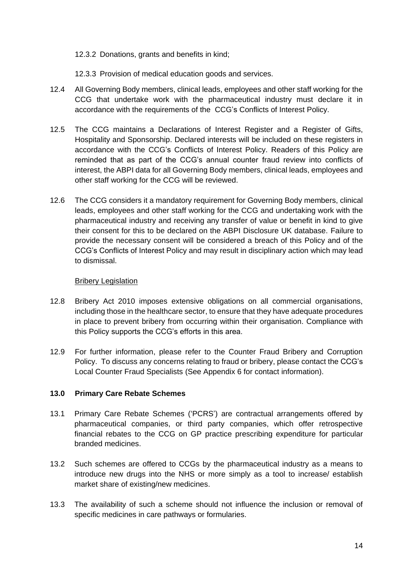12.3.2 Donations, grants and benefits in kind;

- 12.3.3 Provision of medical education goods and services.
- 12.4 All Governing Body members, clinical leads, employees and other staff working for the CCG that undertake work with the pharmaceutical industry must declare it in accordance with the requirements of the CCG's Conflicts of Interest Policy.
- 12.5 The CCG maintains a Declarations of Interest Register and a Register of Gifts, Hospitality and Sponsorship. Declared interests will be included on these registers in accordance with the CCG's Conflicts of Interest Policy. Readers of this Policy are reminded that as part of the CCG's annual counter fraud review into conflicts of interest, the ABPI data for all Governing Body members, clinical leads, employees and other staff working for the CCG will be reviewed.
- 12.6 The CCG considers it a mandatory requirement for Governing Body members, clinical leads, employees and other staff working for the CCG and undertaking work with the pharmaceutical industry and receiving any transfer of value or benefit in kind to give their consent for this to be declared on the ABPI Disclosure UK database. Failure to provide the necessary consent will be considered a breach of this Policy and of the CCG's Conflicts of Interest Policy and may result in disciplinary action which may lead to dismissal.

#### **Bribery Legislation**

- 12.8 Bribery Act 2010 imposes extensive obligations on all commercial organisations, including those in the healthcare sector, to ensure that they have adequate procedures in place to prevent bribery from occurring within their organisation. Compliance with this Policy supports the CCG's efforts in this area.
- 12.9 For further information, please refer to the Counter Fraud Bribery and Corruption Policy. To discuss any concerns relating to fraud or bribery, please contact the CCG's Local Counter Fraud Specialists (See Appendix 6 for contact information).

# **13.0 Primary Care Rebate Schemes**

- 13.1 Primary Care Rebate Schemes ('PCRS') are contractual arrangements offered by pharmaceutical companies, or third party companies, which offer retrospective financial rebates to the CCG on GP practice prescribing expenditure for particular branded medicines.
- 13.2 Such schemes are offered to CCGs by the pharmaceutical industry as a means to introduce new drugs into the NHS or more simply as a tool to increase/ establish market share of existing/new medicines.
- 13.3 The availability of such a scheme should not influence the inclusion or removal of specific medicines in care pathways or formularies.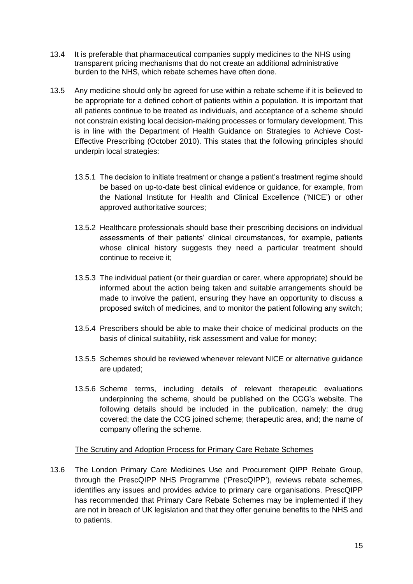- 13.4 It is preferable that pharmaceutical companies supply medicines to the NHS using transparent pricing mechanisms that do not create an additional administrative burden to the NHS, which rebate schemes have often done.
- 13.5 Any medicine should only be agreed for use within a rebate scheme if it is believed to be appropriate for a defined cohort of patients within a population. It is important that all patients continue to be treated as individuals, and acceptance of a scheme should not constrain existing local decision-making processes or formulary development. This is in line with the Department of Health Guidance on Strategies to Achieve Cost-Effective Prescribing (October 2010). This states that the following principles should underpin local strategies:
	- 13.5.1 The decision to initiate treatment or change a patient's treatment regime should be based on up-to-date best clinical evidence or guidance, for example, from the National Institute for Health and Clinical Excellence ('NICE') or other approved authoritative sources;
	- 13.5.2 Healthcare professionals should base their prescribing decisions on individual assessments of their patients' clinical circumstances, for example, patients whose clinical history suggests they need a particular treatment should continue to receive it;
	- 13.5.3 The individual patient (or their guardian or carer, where appropriate) should be informed about the action being taken and suitable arrangements should be made to involve the patient, ensuring they have an opportunity to discuss a proposed switch of medicines, and to monitor the patient following any switch;
	- 13.5.4 Prescribers should be able to make their choice of medicinal products on the basis of clinical suitability, risk assessment and value for money;
	- 13.5.5 Schemes should be reviewed whenever relevant NICE or alternative guidance are updated;
	- 13.5.6 Scheme terms, including details of relevant therapeutic evaluations underpinning the scheme, should be published on the CCG's website. The following details should be included in the publication, namely: the drug covered; the date the CCG joined scheme; therapeutic area, and; the name of company offering the scheme.

# The Scrutiny and Adoption Process for Primary Care Rebate Schemes

13.6 The London Primary Care Medicines Use and Procurement QIPP Rebate Group, through the PrescQIPP NHS Programme ('PrescQIPP'), reviews rebate schemes, identifies any issues and provides advice to primary care organisations. PrescQIPP has recommended that Primary Care Rebate Schemes may be implemented if they are not in breach of UK legislation and that they offer genuine benefits to the NHS and to patients.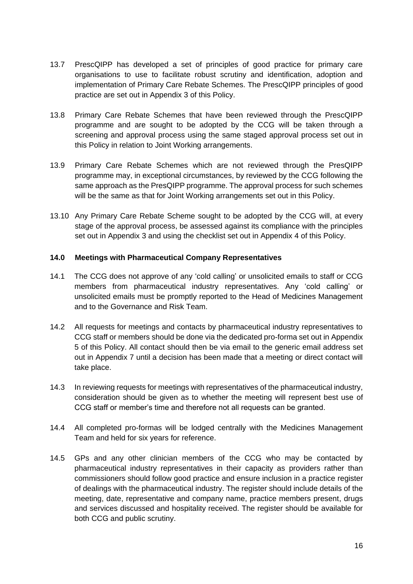- 13.7 PrescQIPP has developed a set of principles of good practice for primary care organisations to use to facilitate robust scrutiny and identification, adoption and implementation of Primary Care Rebate Schemes. The PrescQIPP principles of good practice are set out in Appendix 3 of this Policy.
- 13.8 Primary Care Rebate Schemes that have been reviewed through the PrescQIPP programme and are sought to be adopted by the CCG will be taken through a screening and approval process using the same staged approval process set out in this Policy in relation to Joint Working arrangements.
- 13.9 Primary Care Rebate Schemes which are not reviewed through the PresQIPP programme may, in exceptional circumstances, by reviewed by the CCG following the same approach as the PresQIPP programme. The approval process for such schemes will be the same as that for Joint Working arrangements set out in this Policy.
- 13.10 Any Primary Care Rebate Scheme sought to be adopted by the CCG will, at every stage of the approval process, be assessed against its compliance with the principles set out in Appendix 3 and using the checklist set out in Appendix 4 of this Policy.

# **14.0 Meetings with Pharmaceutical Company Representatives**

- 14.1 The CCG does not approve of any 'cold calling' or unsolicited emails to staff or CCG members from pharmaceutical industry representatives. Any 'cold calling' or unsolicited emails must be promptly reported to the Head of Medicines Management and to the Governance and Risk Team.
- 14.2 All requests for meetings and contacts by pharmaceutical industry representatives to CCG staff or members should be done via the dedicated pro-forma set out in Appendix 5 of this Policy. All contact should then be via email to the generic email address set out in Appendix 7 until a decision has been made that a meeting or direct contact will take place.
- 14.3 In reviewing requests for meetings with representatives of the pharmaceutical industry, consideration should be given as to whether the meeting will represent best use of CCG staff or member's time and therefore not all requests can be granted.
- 14.4 All completed pro-formas will be lodged centrally with the Medicines Management Team and held for six years for reference.
- 14.5 GPs and any other clinician members of the CCG who may be contacted by pharmaceutical industry representatives in their capacity as providers rather than commissioners should follow good practice and ensure inclusion in a practice register of dealings with the pharmaceutical industry. The register should include details of the meeting, date, representative and company name, practice members present, drugs and services discussed and hospitality received. The register should be available for both CCG and public scrutiny.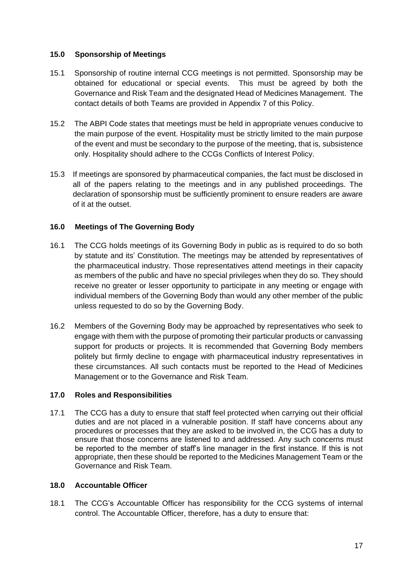# **15.0 Sponsorship of Meetings**

- 15.1 Sponsorship of routine internal CCG meetings is not permitted. Sponsorship may be obtained for educational or special events. This must be agreed by both the Governance and Risk Team and the designated Head of Medicines Management. The contact details of both Teams are provided in Appendix 7 of this Policy.
- 15.2 The ABPI Code states that meetings must be held in appropriate venues conducive to the main purpose of the event. Hospitality must be strictly limited to the main purpose of the event and must be secondary to the purpose of the meeting, that is, subsistence only. Hospitality should adhere to the CCGs Conflicts of Interest Policy.
- 15.3 If meetings are sponsored by pharmaceutical companies, the fact must be disclosed in all of the papers relating to the meetings and in any published proceedings. The declaration of sponsorship must be sufficiently prominent to ensure readers are aware of it at the outset.

# **16.0 Meetings of The Governing Body**

- 16.1 The CCG holds meetings of its Governing Body in public as is required to do so both by statute and its' Constitution. The meetings may be attended by representatives of the pharmaceutical industry. Those representatives attend meetings in their capacity as members of the public and have no special privileges when they do so. They should receive no greater or lesser opportunity to participate in any meeting or engage with individual members of the Governing Body than would any other member of the public unless requested to do so by the Governing Body.
- 16.2 Members of the Governing Body may be approached by representatives who seek to engage with them with the purpose of promoting their particular products or canvassing support for products or projects. It is recommended that Governing Body members politely but firmly decline to engage with pharmaceutical industry representatives in these circumstances. All such contacts must be reported to the Head of Medicines Management or to the Governance and Risk Team.

# **17.0 Roles and Responsibilities**

17.1 The CCG has a duty to ensure that staff feel protected when carrying out their official duties and are not placed in a vulnerable position. If staff have concerns about any procedures or processes that they are asked to be involved in, the CCG has a duty to ensure that those concerns are listened to and addressed. Any such concerns must be reported to the member of staff's line manager in the first instance. If this is not appropriate, then these should be reported to the Medicines Management Team or the Governance and Risk Team.

# **18.0 Accountable Officer**

18.1 The CCG's Accountable Officer has responsibility for the CCG systems of internal control. The Accountable Officer, therefore, has a duty to ensure that: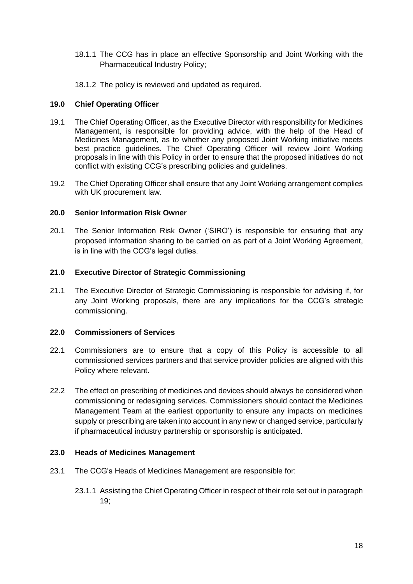- 18.1.1 The CCG has in place an effective Sponsorship and Joint Working with the Pharmaceutical Industry Policy;
- 18.1.2 The policy is reviewed and updated as required.

### **19.0 Chief Operating Officer**

- 19.1 The Chief Operating Officer, as the Executive Director with responsibility for Medicines Management, is responsible for providing advice, with the help of the Head of Medicines Management, as to whether any proposed Joint Working initiative meets best practice guidelines. The Chief Operating Officer will review Joint Working proposals in line with this Policy in order to ensure that the proposed initiatives do not conflict with existing CCG's prescribing policies and guidelines.
- 19.2 The Chief Operating Officer shall ensure that any Joint Working arrangement complies with UK procurement law.

#### **20.0 Senior Information Risk Owner**

20.1 The Senior Information Risk Owner ('SIRO') is responsible for ensuring that any proposed information sharing to be carried on as part of a Joint Working Agreement, is in line with the CCG's legal duties.

#### **21.0 Executive Director of Strategic Commissioning**

21.1 The Executive Director of Strategic Commissioning is responsible for advising if, for any Joint Working proposals, there are any implications for the CCG's strategic commissioning.

#### **22.0 Commissioners of Services**

- 22.1 Commissioners are to ensure that a copy of this Policy is accessible to all commissioned services partners and that service provider policies are aligned with this Policy where relevant.
- 22.2 The effect on prescribing of medicines and devices should always be considered when commissioning or redesigning services. Commissioners should contact the Medicines Management Team at the earliest opportunity to ensure any impacts on medicines supply or prescribing are taken into account in any new or changed service, particularly if pharmaceutical industry partnership or sponsorship is anticipated.

#### **23.0 Heads of Medicines Management**

- 23.1 The CCG's Heads of Medicines Management are responsible for:
	- 23.1.1 Assisting the Chief Operating Officer in respect of their role set out in paragraph 19;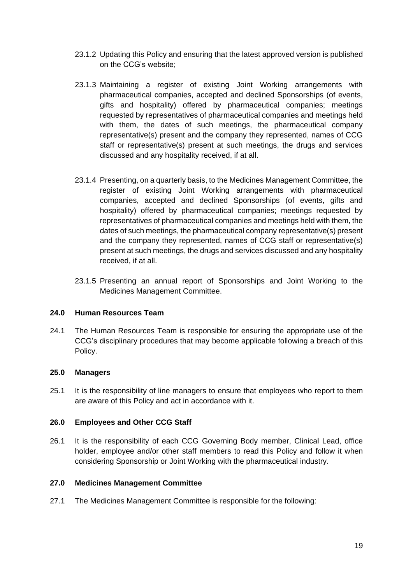- 23.1.2 Updating this Policy and ensuring that the latest approved version is published on the CCG's website;
- 23.1.3 Maintaining a register of existing Joint Working arrangements with pharmaceutical companies, accepted and declined Sponsorships (of events, gifts and hospitality) offered by pharmaceutical companies; meetings requested by representatives of pharmaceutical companies and meetings held with them, the dates of such meetings, the pharmaceutical company representative(s) present and the company they represented, names of CCG staff or representative(s) present at such meetings, the drugs and services discussed and any hospitality received, if at all.
- 23.1.4 Presenting, on a quarterly basis, to the Medicines Management Committee, the register of existing Joint Working arrangements with pharmaceutical companies, accepted and declined Sponsorships (of events, gifts and hospitality) offered by pharmaceutical companies; meetings requested by representatives of pharmaceutical companies and meetings held with them, the dates of such meetings, the pharmaceutical company representative(s) present and the company they represented, names of CCG staff or representative(s) present at such meetings, the drugs and services discussed and any hospitality received, if at all.
- 23.1.5 Presenting an annual report of Sponsorships and Joint Working to the Medicines Management Committee.

# **24.0 Human Resources Team**

24.1 The Human Resources Team is responsible for ensuring the appropriate use of the CCG's disciplinary procedures that may become applicable following a breach of this Policy.

# **25.0 Managers**

25.1 It is the responsibility of line managers to ensure that employees who report to them are aware of this Policy and act in accordance with it.

# **26.0 Employees and Other CCG Staff**

26.1 It is the responsibility of each CCG Governing Body member, Clinical Lead, office holder, employee and/or other staff members to read this Policy and follow it when considering Sponsorship or Joint Working with the pharmaceutical industry.

# **27.0 Medicines Management Committee**

27.1 The Medicines Management Committee is responsible for the following: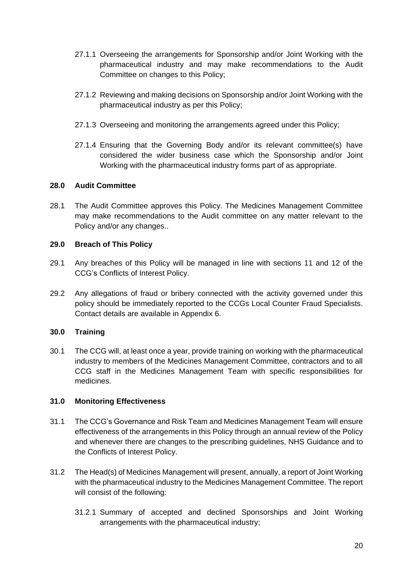- 27.1.1 Overseeing the arrangements for Sponsorship and/or Joint Working with the pharmaceutical industry and may make recommendations to the Audit Committee on changes to this Policy;
- 27.1.2 Reviewing and making decisions on Sponsorship and/or Joint Working with the pharmaceutical industry as per this Policy;
- 27.1.3 Overseeing and monitoring the arrangements agreed under this Policy;
- 27.1.4 Ensuring that the Governing Body and/or its relevant committee(s) have considered the wider business case which the Sponsorship and/or Joint Working with the pharmaceutical industry forms part of as appropriate.

# **28.0 Audit Committee**

28.1 The Audit Committee approves this Policy. The Medicines Management Committee may make recommendations to the Audit committee on any matter relevant to the Policy and/or any changes..

# **29.0 Breach of This Policy**

- 29.1 Any breaches of this Policy will be managed in line with sections 11 and 12 of the CCG's Conflicts of Interest Policy.
- 29.2 Any allegations of fraud or bribery connected with the activity governed under this policy should be immediately reported to the CCGs Local Counter Fraud Specialists. Contact details are available in Appendix 6.

# **30.0 Training**

30.1 The CCG will, at least once a year, provide training on working with the pharmaceutical industry to members of the Medicines Management Committee, contractors and to all CCG staff in the Medicines Management Team with specific responsibilities for medicines.

# **31.0 Monitoring Effectiveness**

- 31.1 The CCG's Governance and Risk Team and Medicines Management Team will ensure effectiveness of the arrangements in this Policy through an annual review of the Policy and whenever there are changes to the prescribing guidelines, NHS Guidance and to the Conflicts of Interest Policy.
- 31.2 The Head(s) of Medicines Management will present, annually, a report of Joint Working with the pharmaceutical industry to the Medicines Management Committee. The report will consist of the following:
	- 31.2.1 Summary of accepted and declined Sponsorships and Joint Working arrangements with the pharmaceutical industry;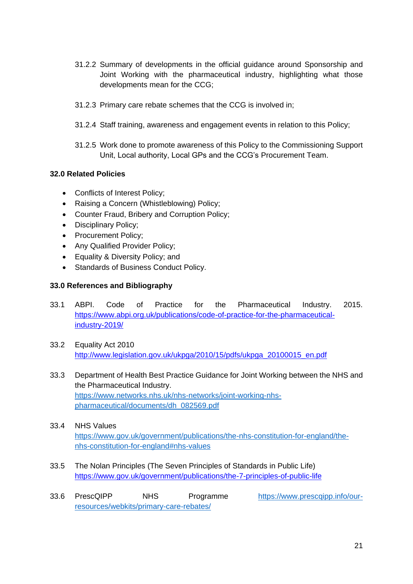- 31.2.2 Summary of developments in the official guidance around Sponsorship and Joint Working with the pharmaceutical industry, highlighting what those developments mean for the CCG;
- 31.2.3 Primary care rebate schemes that the CCG is involved in;
- 31.2.4 Staff training, awareness and engagement events in relation to this Policy;
- 31.2.5 Work done to promote awareness of this Policy to the Commissioning Support Unit, Local authority, Local GPs and the CCG's Procurement Team.

# **32.0 Related Policies**

- Conflicts of Interest Policy;
- Raising a Concern (Whistleblowing) Policy;
- Counter Fraud, Bribery and Corruption Policy;
- Disciplinary Policy;
- Procurement Policy;
- Any Qualified Provider Policy;
- Equality & Diversity Policy; and
- Standards of Business Conduct Policy.

# **33.0 References and Bibliography**

- 33.1 ABPI. Code of Practice for the Pharmaceutical Industry. 2015. [https://www.abpi.org.uk/publications/code-of-practice-for-the-pharmaceutical](https://www.abpi.org.uk/publications/code-of-practice-for-the-pharmaceutical-industry-2019/)[industry-2019/](https://www.abpi.org.uk/publications/code-of-practice-for-the-pharmaceutical-industry-2019/)
- 33.2 Equality Act 2010 [http://www.legislation.gov.uk/ukpga/2010/15/pdfs/ukpga\\_20100015\\_en.pdf](http://www.legislation.gov.uk/ukpga/2010/15/pdfs/ukpga_20100015_en.pdf)
- 33.3 Department of Health Best Practice Guidance for Joint Working between the NHS and the Pharmaceutical Industry. [https://www.networks.nhs.uk/nhs-networks/joint-working-nhs](https://www.networks.nhs.uk/nhs-networks/joint-working-nhs-pharmaceutical/documents/dh_082569.pdf)[pharmaceutical/documents/dh\\_082569.pdf](https://www.networks.nhs.uk/nhs-networks/joint-working-nhs-pharmaceutical/documents/dh_082569.pdf)
- 33.4 NHS Values [https://www.gov.uk/government/publications/the-nhs-constitution-for-england/the](https://www.gov.uk/government/publications/the-nhs-constitution-for-england/the-nhs-constitution-for-england#nhs-values)[nhs-constitution-for-england#nhs-values](https://www.gov.uk/government/publications/the-nhs-constitution-for-england/the-nhs-constitution-for-england#nhs-values)
- 33.5 The Nolan Principles (The Seven Principles of Standards in Public Life) <https://www.gov.uk/government/publications/the-7-principles-of-public-life>
- 33.6 PrescQIPP NHS Programme [https://www.prescqipp.info/our](https://www.prescqipp.info/our-resources/webkits/primary-care-rebates/)[resources/webkits/primary-care-rebates/](https://www.prescqipp.info/our-resources/webkits/primary-care-rebates/)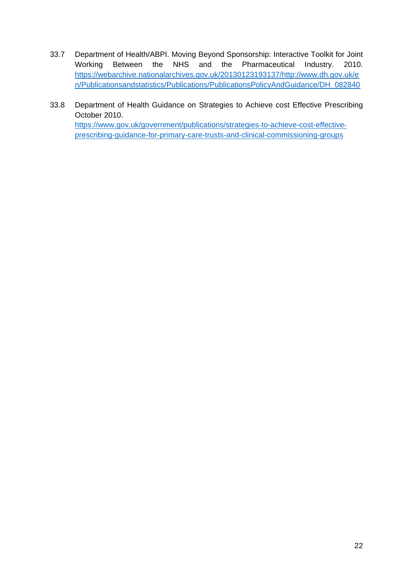- 33.7 Department of Health/ABPI. Moving Beyond Sponsorship: Interactive Toolkit for Joint Working Between the NHS and the Pharmaceutical Industry. 2010. [https://webarchive.nationalarchives.gov.uk/20130123193137/http://www.dh.gov.uk/e](https://webarchive.nationalarchives.gov.uk/20130123193137/http:/www.dh.gov.uk/en/Publicationsandstatistics/Publications/PublicationsPolicyAndGuidance/DH_082840) [n/Publicationsandstatistics/Publications/PublicationsPolicyAndGuidance/DH\\_082840](https://webarchive.nationalarchives.gov.uk/20130123193137/http:/www.dh.gov.uk/en/Publicationsandstatistics/Publications/PublicationsPolicyAndGuidance/DH_082840)
- 33.8 Department of Health Guidance on Strategies to Achieve cost Effective Prescribing October 2010. [https://www.gov.uk/government/publications/strategies-to-achieve-cost-effective](https://www.gov.uk/government/publications/strategies-to-achieve-cost-effective-prescribing-guidance-for-primary-care-trusts-and-clinical-commissioning-groups)[prescribing-guidance-for-primary-care-trusts-and-clinical-commissioning-groups](https://www.gov.uk/government/publications/strategies-to-achieve-cost-effective-prescribing-guidance-for-primary-care-trusts-and-clinical-commissioning-groups)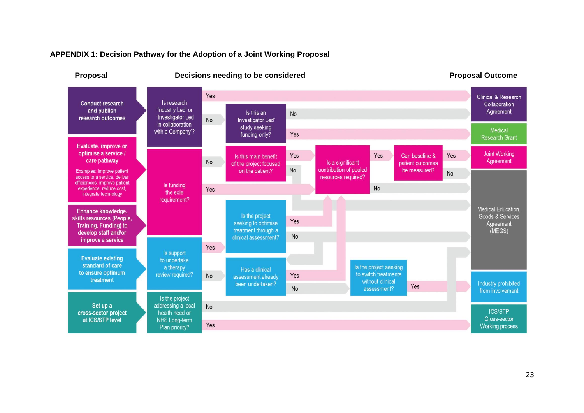

#### **APPENDIX 1: Decision Pathway for the Adoption of a Joint Working Proposal**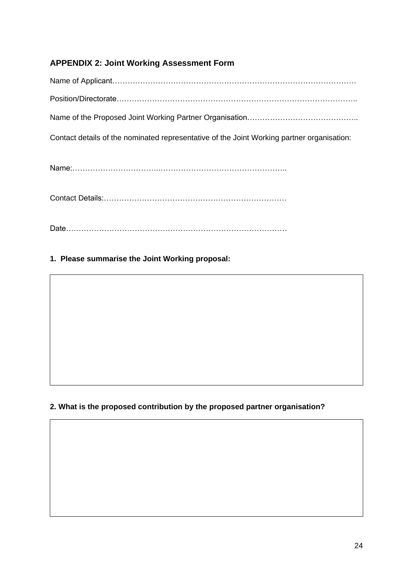# **APPENDIX 2: Joint Working Assessment Form**

Name of Applicant…………………………………………………………………………………… Position/Directorate…………………………………………………………………………………..

Name of the Proposed Joint Working Partner Organisation…………………………………………………………………

Contact details of the nominated representative of the Joint Working partner organisation:

Name:……………………………..…………………………………………..

Contact Details:………………………………………………………………

Date……………………………………………………………………………

# **1. Please summarise the Joint Working proposal:**

# **2. What is the proposed contribution by the proposed partner organisation?**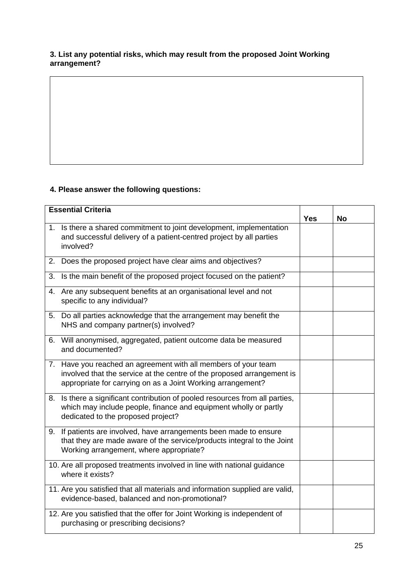# **3. List any potential risks, which may result from the proposed Joint Working arrangement?**

# **4. Please answer the following questions:**

| <b>Essential Criteria</b> |                                                                                                                                                                                                         |  | <b>No</b> |
|---------------------------|---------------------------------------------------------------------------------------------------------------------------------------------------------------------------------------------------------|--|-----------|
|                           | 1. Is there a shared commitment to joint development, implementation<br>and successful delivery of a patient-centred project by all parties<br>involved?                                                |  |           |
|                           | 2. Does the proposed project have clear aims and objectives?                                                                                                                                            |  |           |
|                           | 3. Is the main benefit of the proposed project focused on the patient?                                                                                                                                  |  |           |
|                           | 4. Are any subsequent benefits at an organisational level and not<br>specific to any individual?                                                                                                        |  |           |
|                           | 5. Do all parties acknowledge that the arrangement may benefit the<br>NHS and company partner(s) involved?                                                                                              |  |           |
|                           | 6. Will anonymised, aggregated, patient outcome data be measured<br>and documented?                                                                                                                     |  |           |
|                           | 7. Have you reached an agreement with all members of your team<br>involved that the service at the centre of the proposed arrangement is<br>appropriate for carrying on as a Joint Working arrangement? |  |           |
|                           | 8. Is there a significant contribution of pooled resources from all parties,<br>which may include people, finance and equipment wholly or partly<br>dedicated to the proposed project?                  |  |           |
|                           | 9. If patients are involved, have arrangements been made to ensure<br>that they are made aware of the service/products integral to the Joint<br>Working arrangement, where appropriate?                 |  |           |
|                           | 10. Are all proposed treatments involved in line with national guidance<br>where it exists?                                                                                                             |  |           |
|                           | 11. Are you satisfied that all materials and information supplied are valid,<br>evidence-based, balanced and non-promotional?                                                                           |  |           |
|                           | 12. Are you satisfied that the offer for Joint Working is independent of<br>purchasing or prescribing decisions?                                                                                        |  |           |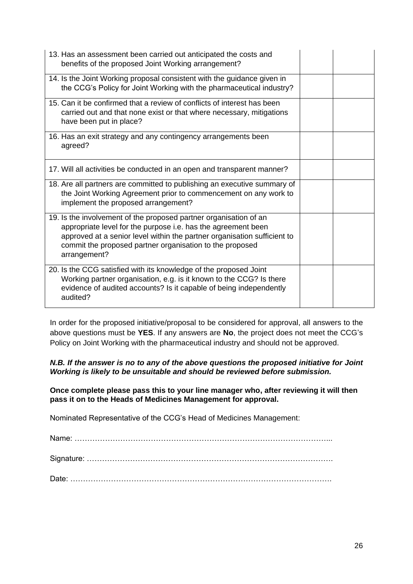| 13. Has an assessment been carried out anticipated the costs and<br>benefits of the proposed Joint Working arrangement?                                                                                                                                                                    |  |
|--------------------------------------------------------------------------------------------------------------------------------------------------------------------------------------------------------------------------------------------------------------------------------------------|--|
| 14. Is the Joint Working proposal consistent with the guidance given in<br>the CCG's Policy for Joint Working with the pharmaceutical industry?                                                                                                                                            |  |
| 15. Can it be confirmed that a review of conflicts of interest has been<br>carried out and that none exist or that where necessary, mitigations<br>have been put in place?                                                                                                                 |  |
| 16. Has an exit strategy and any contingency arrangements been<br>agreed?                                                                                                                                                                                                                  |  |
| 17. Will all activities be conducted in an open and transparent manner?                                                                                                                                                                                                                    |  |
| 18. Are all partners are committed to publishing an executive summary of<br>the Joint Working Agreement prior to commencement on any work to<br>implement the proposed arrangement?                                                                                                        |  |
| 19. Is the involvement of the proposed partner organisation of an<br>appropriate level for the purpose i.e. has the agreement been<br>approved at a senior level within the partner organisation sufficient to<br>commit the proposed partner organisation to the proposed<br>arrangement? |  |
| 20. Is the CCG satisfied with its knowledge of the proposed Joint<br>Working partner organisation, e.g. is it known to the CCG? Is there<br>evidence of audited accounts? Is it capable of being independently<br>audited?                                                                 |  |

In order for the proposed initiative/proposal to be considered for approval, all answers to the above questions must be **YES**. If any answers are **No**, the project does not meet the CCG's Policy on Joint Working with the pharmaceutical industry and should not be approved.

# *N.B. If the answer is no to any of the above questions the proposed initiative for Joint Working is likely to be unsuitable and should be reviewed before submission.*

**Once complete please pass this to your line manager who, after reviewing it will then pass it on to the Heads of Medicines Management for approval.**

Nominated Representative of the CCG's Head of Medicines Management: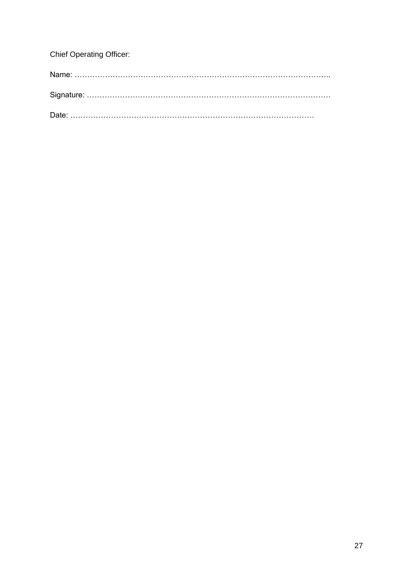| <b>Chief Operating Officer:</b> |
|---------------------------------|
|                                 |
|                                 |
|                                 |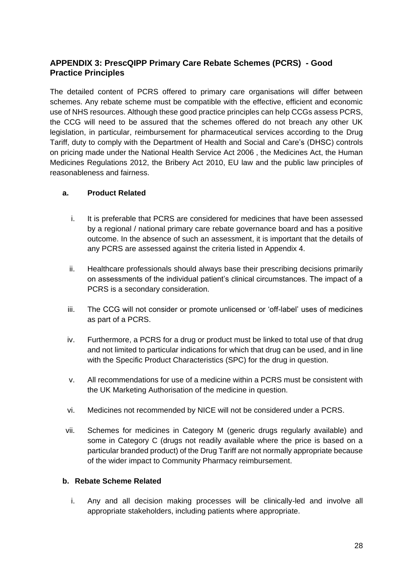# **APPENDIX 3: PrescQIPP Primary Care Rebate Schemes (PCRS) - Good Practice Principles**

The detailed content of PCRS offered to primary care organisations will differ between schemes. Any rebate scheme must be compatible with the effective, efficient and economic use of NHS resources. Although these good practice principles can help CCGs assess PCRS, the CCG will need to be assured that the schemes offered do not breach any other UK legislation, in particular, reimbursement for pharmaceutical services according to the Drug Tariff, duty to comply with the Department of Health and Social and Care's (DHSC) controls on pricing made under the National Health Service Act 2006 , the Medicines Act, the Human Medicines Regulations 2012, the Bribery Act 2010, EU law and the public law principles of reasonableness and fairness.

# **a. Product Related**

- i. It is preferable that PCRS are considered for medicines that have been assessed by a regional / national primary care rebate governance board and has a positive outcome. In the absence of such an assessment, it is important that the details of any PCRS are assessed against the criteria listed in Appendix 4.
- ii. Healthcare professionals should always base their prescribing decisions primarily on assessments of the individual patient's clinical circumstances. The impact of a PCRS is a secondary consideration.
- iii. The CCG will not consider or promote unlicensed or 'off-label' uses of medicines as part of a PCRS.
- iv. Furthermore, a PCRS for a drug or product must be linked to total use of that drug and not limited to particular indications for which that drug can be used, and in line with the Specific Product Characteristics (SPC) for the drug in question.
- v. All recommendations for use of a medicine within a PCRS must be consistent with the UK Marketing Authorisation of the medicine in question.
- vi. Medicines not recommended by NICE will not be considered under a PCRS.
- vii. Schemes for medicines in Category M (generic drugs regularly available) and some in Category C (drugs not readily available where the price is based on a particular branded product) of the Drug Tariff are not normally appropriate because of the wider impact to Community Pharmacy reimbursement.

# **b. Rebate Scheme Related**

i. Any and all decision making processes will be clinically-led and involve all appropriate stakeholders, including patients where appropriate.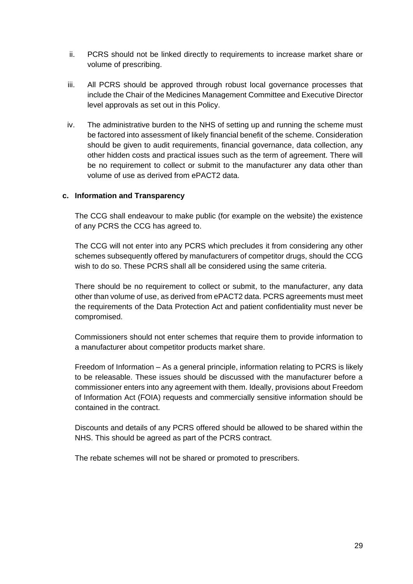- ii. PCRS should not be linked directly to requirements to increase market share or volume of prescribing.
- iii. All PCRS should be approved through robust local governance processes that include the Chair of the Medicines Management Committee and Executive Director level approvals as set out in this Policy.
- iv. The administrative burden to the NHS of setting up and running the scheme must be factored into assessment of likely financial benefit of the scheme. Consideration should be given to audit requirements, financial governance, data collection, any other hidden costs and practical issues such as the term of agreement. There will be no requirement to collect or submit to the manufacturer any data other than volume of use as derived from ePACT2 data.

# **c. Information and Transparency**

The CCG shall endeavour to make public (for example on the website) the existence of any PCRS the CCG has agreed to.

The CCG will not enter into any PCRS which precludes it from considering any other schemes subsequently offered by manufacturers of competitor drugs, should the CCG wish to do so. These PCRS shall all be considered using the same criteria.

There should be no requirement to collect or submit, to the manufacturer, any data other than volume of use, as derived from ePACT2 data. PCRS agreements must meet the requirements of the Data Protection Act and patient confidentiality must never be compromised.

Commissioners should not enter schemes that require them to provide information to a manufacturer about competitor products market share.

Freedom of Information – As a general principle, information relating to PCRS is likely to be releasable. These issues should be discussed with the manufacturer before a commissioner enters into any agreement with them. Ideally, provisions about Freedom of Information Act (FOIA) requests and commercially sensitive information should be contained in the contract.

Discounts and details of any PCRS offered should be allowed to be shared within the NHS. This should be agreed as part of the PCRS contract.

The rebate schemes will not be shared or promoted to prescribers.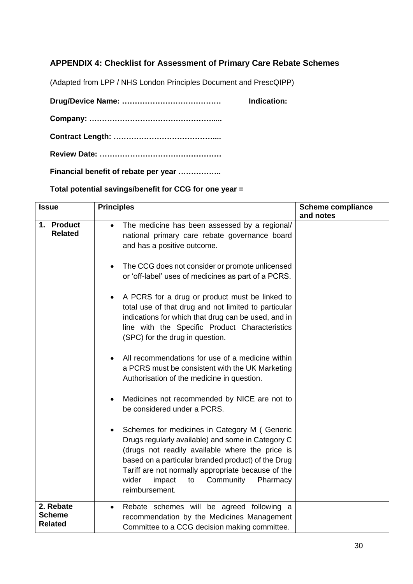# **APPENDIX 4: Checklist for Assessment of Primary Care Rebate Schemes**

(Adapted from LPP / NHS London Principles Document and PrescQIPP)

**Drug/Device Name: ………………………………… Indication: Company: …………………………………………..... Contract Length: ………………………………….... Review Date: …………………………………………**

**Financial benefit of rebate per year ……………..**

**Total potential savings/benefit for CCG for one year =** 

| <b>Issue</b> |                                              | <b>Principles</b>                                                                                                                                                                                                                                                                                                                    | <b>Scheme compliance</b> |
|--------------|----------------------------------------------|--------------------------------------------------------------------------------------------------------------------------------------------------------------------------------------------------------------------------------------------------------------------------------------------------------------------------------------|--------------------------|
|              | 1. Product<br><b>Related</b>                 | The medicine has been assessed by a regional/<br>national primary care rebate governance board<br>and has a positive outcome.                                                                                                                                                                                                        | and notes                |
|              |                                              | The CCG does not consider or promote unlicensed<br>or 'off-label' uses of medicines as part of a PCRS.                                                                                                                                                                                                                               |                          |
|              |                                              | A PCRS for a drug or product must be linked to<br>total use of that drug and not limited to particular<br>indications for which that drug can be used, and in<br>line with the Specific Product Characteristics<br>(SPC) for the drug in question.                                                                                   |                          |
|              |                                              | All recommendations for use of a medicine within<br>a PCRS must be consistent with the UK Marketing<br>Authorisation of the medicine in question.                                                                                                                                                                                    |                          |
|              |                                              | Medicines not recommended by NICE are not to<br>be considered under a PCRS.                                                                                                                                                                                                                                                          |                          |
|              |                                              | Schemes for medicines in Category M (Generic<br>Drugs regularly available) and some in Category C<br>(drugs not readily available where the price is<br>based on a particular branded product) of the Drug<br>Tariff are not normally appropriate because of the<br>wider<br>Community<br>impact<br>Pharmacy<br>to<br>reimbursement. |                          |
|              | 2. Rebate<br><b>Scheme</b><br><b>Related</b> | Rebate schemes will be agreed following a<br>recommendation by the Medicines Management<br>Committee to a CCG decision making committee.                                                                                                                                                                                             |                          |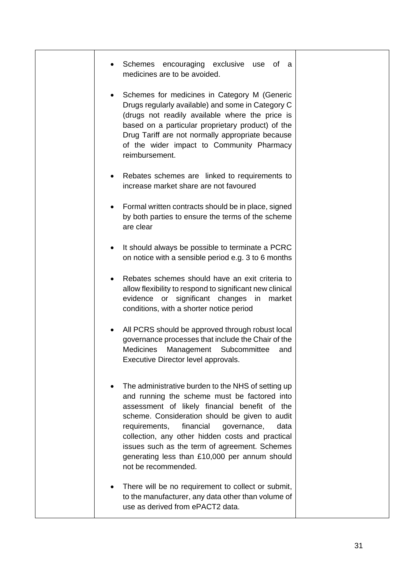| Schemes encouraging exclusive use of a<br>medicines are to be avoided.                                                                                                                                                                                                                                                                                                                                                                  |
|-----------------------------------------------------------------------------------------------------------------------------------------------------------------------------------------------------------------------------------------------------------------------------------------------------------------------------------------------------------------------------------------------------------------------------------------|
| Schemes for medicines in Category M (Generic<br>٠<br>Drugs regularly available) and some in Category C<br>(drugs not readily available where the price is<br>based on a particular proprietary product) of the<br>Drug Tariff are not normally appropriate because<br>of the wider impact to Community Pharmacy<br>reimbursement.                                                                                                       |
| Rebates schemes are linked to requirements to<br>٠<br>increase market share are not favoured                                                                                                                                                                                                                                                                                                                                            |
| Formal written contracts should be in place, signed<br>by both parties to ensure the terms of the scheme<br>are clear                                                                                                                                                                                                                                                                                                                   |
| It should always be possible to terminate a PCRC<br>on notice with a sensible period e.g. 3 to 6 months                                                                                                                                                                                                                                                                                                                                 |
| Rebates schemes should have an exit criteria to<br>allow flexibility to respond to significant new clinical<br>evidence or significant changes in market<br>conditions, with a shorter notice period                                                                                                                                                                                                                                    |
| All PCRS should be approved through robust local<br>governance processes that include the Chair of the<br><b>Medicines</b><br>Management Subcommittee<br>and<br>Executive Director level approvals.                                                                                                                                                                                                                                     |
| The administrative burden to the NHS of setting up<br>and running the scheme must be factored into<br>assessment of likely financial benefit of the<br>scheme. Consideration should be given to audit<br>financial<br>requirements,<br>governance,<br>data<br>collection, any other hidden costs and practical<br>issues such as the term of agreement. Schemes<br>generating less than £10,000 per annum should<br>not be recommended. |
| There will be no requirement to collect or submit,<br>to the manufacturer, any data other than volume of<br>use as derived from ePACT2 data.                                                                                                                                                                                                                                                                                            |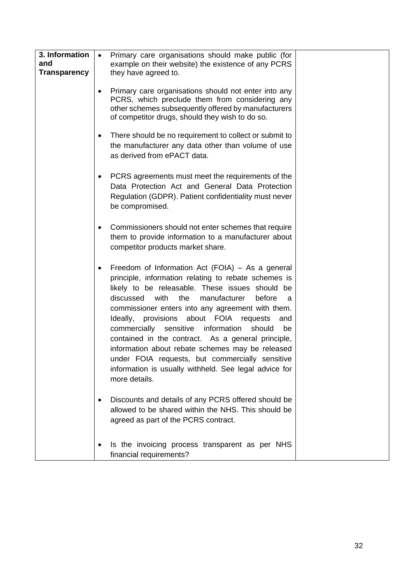| 3. Information<br>and<br><b>Transparency</b> | Primary care organisations should make public (for<br>example on their website) the existence of any PCRS<br>they have agreed to.<br>Primary care organisations should not enter into any<br>$\bullet$<br>PCRS, which preclude them from considering any<br>other schemes subsequently offered by manufacturers                                                                                                                                                                                                                                                                                                                    |
|----------------------------------------------|------------------------------------------------------------------------------------------------------------------------------------------------------------------------------------------------------------------------------------------------------------------------------------------------------------------------------------------------------------------------------------------------------------------------------------------------------------------------------------------------------------------------------------------------------------------------------------------------------------------------------------|
|                                              | of competitor drugs, should they wish to do so.<br>There should be no requirement to collect or submit to<br>٠<br>the manufacturer any data other than volume of use<br>as derived from ePACT data.                                                                                                                                                                                                                                                                                                                                                                                                                                |
|                                              | PCRS agreements must meet the requirements of the<br>٠<br>Data Protection Act and General Data Protection<br>Regulation (GDPR). Patient confidentiality must never<br>be compromised.                                                                                                                                                                                                                                                                                                                                                                                                                                              |
|                                              | Commissioners should not enter schemes that require<br>٠<br>them to provide information to a manufacturer about<br>competitor products market share.                                                                                                                                                                                                                                                                                                                                                                                                                                                                               |
|                                              | Freedom of Information Act (FOIA) – As a general<br>٠<br>principle, information relating to rebate schemes is<br>likely to be releasable. These issues should be<br>the<br>discussed<br>with<br>manufacturer<br>before<br>a<br>commissioner enters into any agreement with them.<br>Ideally, provisions about FOIA requests<br>and<br>commercially sensitive<br>information<br>should<br>be<br>contained in the contract. As a general principle,<br>information about rebate schemes may be released<br>under FOIA requests, but commercially sensitive<br>information is usually withheld. See legal advice for<br>more details. |
|                                              | Discounts and details of any PCRS offered should be<br>allowed to be shared within the NHS. This should be<br>agreed as part of the PCRS contract.                                                                                                                                                                                                                                                                                                                                                                                                                                                                                 |
|                                              | Is the invoicing process transparent as per NHS<br>financial requirements?                                                                                                                                                                                                                                                                                                                                                                                                                                                                                                                                                         |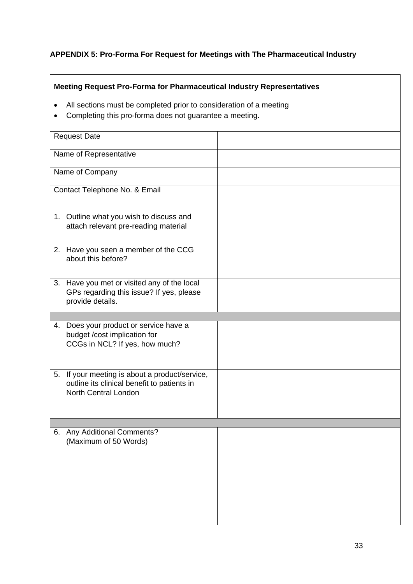# **APPENDIX 5: Pro-Forma For Request for Meetings with The Pharmaceutical Industry**

# **Meeting Request Pro-Forma for Pharmaceutical Industry Representatives**

- All sections must be completed prior to consideration of a meeting
- Completing this pro-forma does not guarantee a meeting.

| <b>Request Date</b>           |                                                                                                                              |  |
|-------------------------------|------------------------------------------------------------------------------------------------------------------------------|--|
| Name of Representative        |                                                                                                                              |  |
| Name of Company               |                                                                                                                              |  |
| Contact Telephone No. & Email |                                                                                                                              |  |
|                               | 1. Outline what you wish to discuss and<br>attach relevant pre-reading material                                              |  |
|                               | 2. Have you seen a member of the CCG<br>about this before?                                                                   |  |
|                               | 3. Have you met or visited any of the local<br>GPs regarding this issue? If yes, please<br>provide details.                  |  |
|                               |                                                                                                                              |  |
|                               | 4. Does your product or service have a<br>budget /cost implication for<br>CCGs in NCL? If yes, how much?                     |  |
|                               | 5. If your meeting is about a product/service,<br>outline its clinical benefit to patients in<br><b>North Central London</b> |  |
|                               |                                                                                                                              |  |
|                               | 6. Any Additional Comments?<br>(Maximum of 50 Words)                                                                         |  |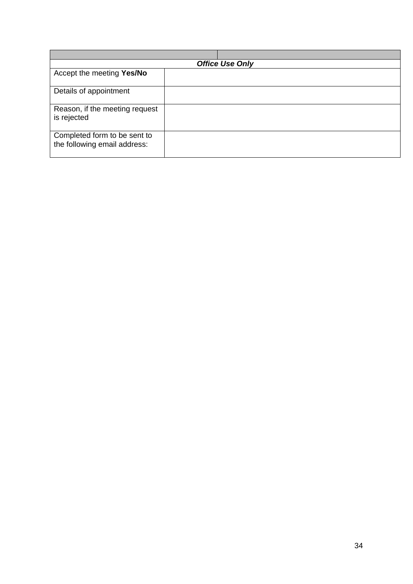| <b>Office Use Only</b>                                       |  |  |  |  |  |
|--------------------------------------------------------------|--|--|--|--|--|
| Accept the meeting Yes/No                                    |  |  |  |  |  |
| Details of appointment                                       |  |  |  |  |  |
| Reason, if the meeting request<br>is rejected                |  |  |  |  |  |
| Completed form to be sent to<br>the following email address: |  |  |  |  |  |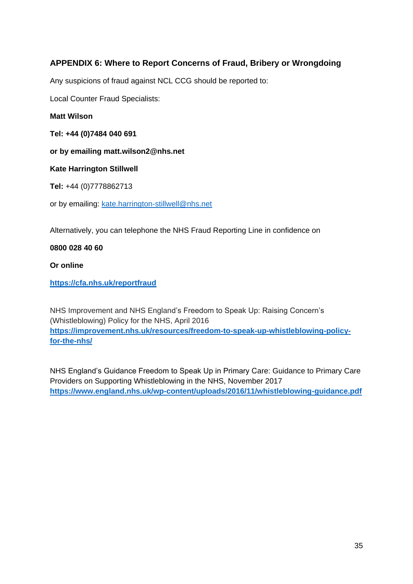# **APPENDIX 6: Where to Report Concerns of Fraud, Bribery or Wrongdoing**

Any suspicions of fraud against NCL CCG should be reported to:

Local Counter Fraud Specialists:

**Matt Wilson**

**Tel: +44 (0)7484 040 691**

**or by emailing matt.wilson2@nhs.net**

**Kate Harrington Stillwell**

**Tel:** +44 (0)7778862713

or by emailing: [kate.harrington-stillwell@nhs.net](mailto:kate.harrington-stillwell@nhs.net)

Alternatively, you can telephone the NHS Fraud Reporting Line in confidence on

**0800 028 40 60**

**Or online**

**<https://cfa.nhs.uk/reportfraud>**

NHS Improvement and NHS England's Freedom to Speak Up: Raising Concern's (Whistleblowing) Policy for the NHS, April 2016 **https://improvement.nhs.uk/resources/freedom-to-speak-up-whistleblowing-policyfor-the-nhs/**

NHS England's Guidance Freedom to Speak Up in Primary Care: Guidance to Primary Care Providers on Supporting Whistleblowing in the NHS, November 2017 **<https://www.england.nhs.uk/wp-content/uploads/2016/11/whistleblowing-guidance.pdf>**